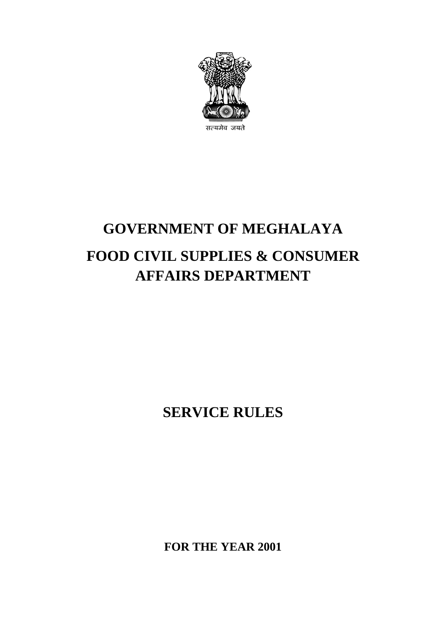

# **GOVERNMENT OF MEGHALAYA FOOD CIVIL SUPPLIES & CONSUMER AFFAIRS DEPARTMENT**

**SERVICE RULES** 

**FOR THE YEAR 2001**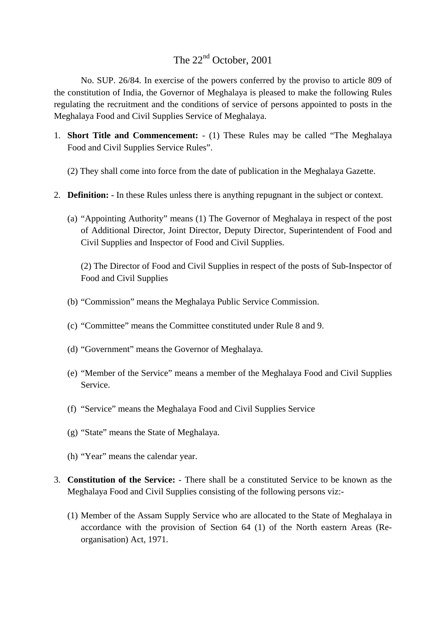## The 22<sup>nd</sup> October, 2001

No. SUP. 26/84. In exercise of the powers conferred by the proviso to article 809 of the constitution of India, the Governor of Meghalaya is pleased to make the following Rules regulating the recruitment and the conditions of service of persons appointed to posts in the Meghalaya Food and Civil Supplies Service of Meghalaya.

- 1. **Short Title and Commencement:**  (1) These Rules may be called "The Meghalaya Food and Civil Supplies Service Rules".
	- (2) They shall come into force from the date of publication in the Meghalaya Gazette.
- 2. **Definition:** In these Rules unless there is anything repugnant in the subject or context.
	- (a) "Appointing Authority" means (1) The Governor of Meghalaya in respect of the post of Additional Director, Joint Director, Deputy Director, Superintendent of Food and Civil Supplies and Inspector of Food and Civil Supplies.

(2) The Director of Food and Civil Supplies in respect of the posts of Sub-Inspector of Food and Civil Supplies

- (b) "Commission" means the Meghalaya Public Service Commission.
- (c) "Committee" means the Committee constituted under Rule 8 and 9.
- (d) "Government" means the Governor of Meghalaya.
- (e) "Member of the Service" means a member of the Meghalaya Food and Civil Supplies Service.
- (f) "Service" means the Meghalaya Food and Civil Supplies Service
- (g) "State" means the State of Meghalaya.
- (h) "Year" means the calendar year.
- 3. **Constitution of the Service:** There shall be a constituted Service to be known as the Meghalaya Food and Civil Supplies consisting of the following persons viz:-
	- (1) Member of the Assam Supply Service who are allocated to the State of Meghalaya in accordance with the provision of Section 64 (1) of the North eastern Areas (Reorganisation) Act, 1971.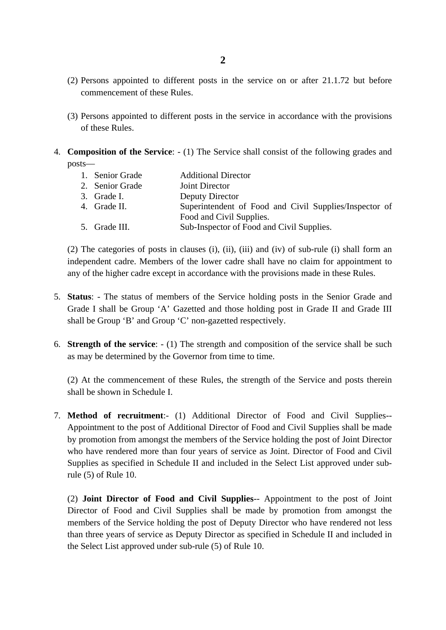- (2) Persons appointed to different posts in the service on or after 21.1.72 but before commencement of these Rules.
- (3) Persons appointed to different posts in the service in accordance with the provisions of these Rules.
- 4. **Composition of the Service**: (1) The Service shall consist of the following grades and posts—
	- 1. Senior Grade 2. Senior Grade 3. Grade I. 4. Grade II. 5. Grade III. Additional Director Joint Director Deputy Director Superintendent of Food and Civil Supplies/Inspector of Food and Civil Supplies. Sub-Inspector of Food and Civil Supplies.

(2) The categories of posts in clauses (i), (ii), (iii) and (iv) of sub-rule (i) shall form an independent cadre. Members of the lower cadre shall have no claim for appointment to any of the higher cadre except in accordance with the provisions made in these Rules.

- 5. **Status**: The status of members of the Service holding posts in the Senior Grade and Grade I shall be Group 'A' Gazetted and those holding post in Grade II and Grade III shall be Group 'B' and Group 'C' non-gazetted respectively.
- 6. **Strength of the service**: (1) The strength and composition of the service shall be such as may be determined by the Governor from time to time.

(2) At the commencement of these Rules, the strength of the Service and posts therein shall be shown in Schedule I.

7. **Method of recruitment**:- (1) Additional Director of Food and Civil Supplies-- Appointment to the post of Additional Director of Food and Civil Supplies shall be made by promotion from amongst the members of the Service holding the post of Joint Director who have rendered more than four years of service as Joint. Director of Food and Civil Supplies as specified in Schedule II and included in the Select List approved under subrule (5) of Rule 10.

(2) **Joint Director of Food and Civil Supplies**-- Appointment to the post of Joint Director of Food and Civil Supplies shall be made by promotion from amongst the members of the Service holding the post of Deputy Director who have rendered not less than three years of service as Deputy Director as specified in Schedule II and included in the Select List approved under sub-rule (5) of Rule 10.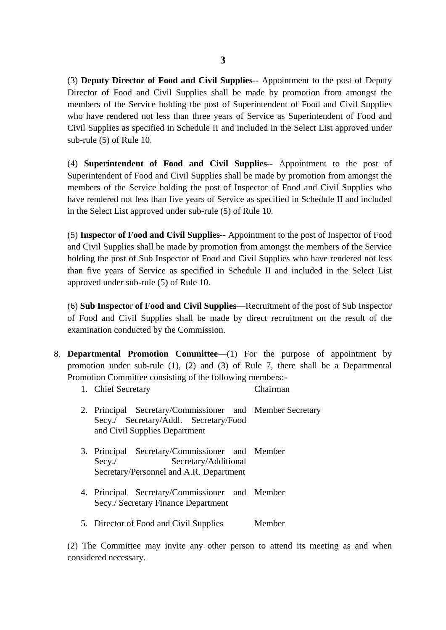(3) **Deputy Director of Food and Civil Supplies**-- Appointment to the post of Deputy Director of Food and Civil Supplies shall be made by promotion from amongst the members of the Service holding the post of Superintendent of Food and Civil Supplies who have rendered not less than three years of Service as Superintendent of Food and Civil Supplies as specified in Schedule II and included in the Select List approved under sub-rule (5) of Rule 10.

(4) **Superintendent of Food and Civil Supplies**-- Appointment to the post of Superintendent of Food and Civil Supplies shall be made by promotion from amongst the members of the Service holding the post of Inspector of Food and Civil Supplies who have rendered not less than five years of Service as specified in Schedule II and included in the Select List approved under sub-rule (5) of Rule 10.

(5) **Inspecto**r **of Food and Civil Supplies**-- Appointment to the post of Inspector of Food and Civil Supplies shall be made by promotion from amongst the members of the Service holding the post of Sub Inspector of Food and Civil Supplies who have rendered not less than five years of Service as specified in Schedule II and included in the Select List approved under sub-rule (5) of Rule 10.

(6) **Sub Inspecto**r **of Food and Civil Supplies**—Recruitment of the post of Sub Inspector of Food and Civil Supplies shall be made by direct recruitment on the result of the examination conducted by the Commission.

8. **Departmental Promotion Committee**—(1) For the purpose of appointment by promotion under sub-rule (1), (2) and (3) of Rule 7, there shall be a Departmental Promotion Committee consisting of the following members:-

| 1. Chief Secretary                                                                                                                 | Chairman |
|------------------------------------------------------------------------------------------------------------------------------------|----------|
| 2. Principal Secretary/Commissioner and Member Secretary<br>Secy./ Secretary/Addl. Secretary/Food<br>and Civil Supplies Department |          |
| 3. Principal Secretary/Commissioner and Member<br>Secretary/Additional<br>$Secy$ ./<br>Secretary/Personnel and A.R. Department     |          |
| 4. Principal Secretary/Commissioner and Member<br>Secy./ Secretary Finance Department                                              |          |
| 5. Director of Food and Civil Supplies                                                                                             | Member   |

(2) The Committee may invite any other person to attend its meeting as and when considered necessary.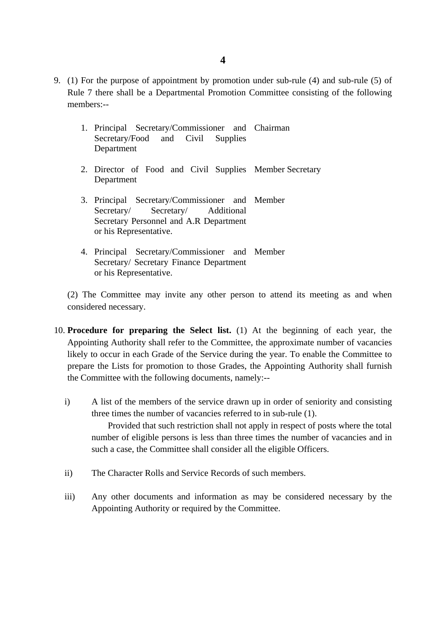- 9. (1) For the purpose of appointment by promotion under sub-rule (4) and sub-rule (5) of Rule 7 there shall be a Departmental Promotion Committee consisting of the following members:--
	- 1. Principal Secretary/Commissioner and Chairman Secretary/Food and Civil Supplies Department
	- 2. Director of Food and Civil Supplies Member Secretary Department
	- 3. Principal Secretary/Commissioner and Member Secretary/ Secretary/ Additional Secretary Personnel and A.R Department or his Representative.
	- 4. Principal Secretary/Commissioner and Member Secretary/ Secretary Finance Department or his Representative.

(2) The Committee may invite any other person to attend its meeting as and when considered necessary.

- 10. **Procedure for preparing the Select list.** (1) At the beginning of each year, the Appointing Authority shall refer to the Committee, the approximate number of vacancies likely to occur in each Grade of the Service during the year. To enable the Committee to prepare the Lists for promotion to those Grades, the Appointing Authority shall furnish the Committee with the following documents, namely:-
	- i) A list of the members of the service drawn up in order of seniority and consisting three times the number of vacancies referred to in sub-rule (1).

Provided that such restriction shall not apply in respect of posts where the total number of eligible persons is less than three times the number of vacancies and in such a case, the Committee shall consider all the eligible Officers.

- ii) The Character Rolls and Service Records of such members.
- iii) Any other documents and information as may be considered necessary by the Appointing Authority or required by the Committee.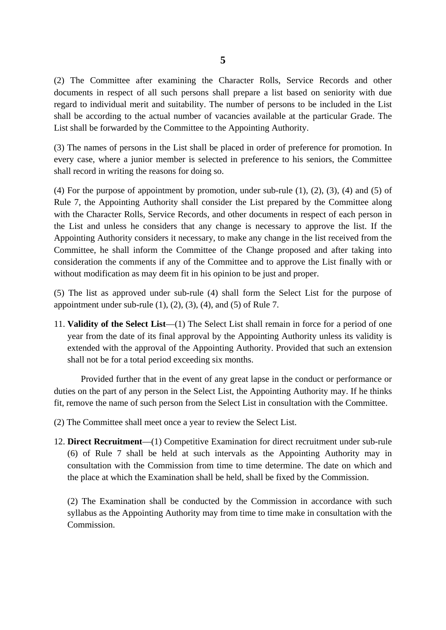(2) The Committee after examining the Character Rolls, Service Records and other documents in respect of all such persons shall prepare a list based on seniority with due regard to individual merit and suitability. The number of persons to be included in the List shall be according to the actual number of vacancies available at the particular Grade. The List shall be forwarded by the Committee to the Appointing Authority.

(3) The names of persons in the List shall be placed in order of preference for promotion. In every case, where a junior member is selected in preference to his seniors, the Committee shall record in writing the reasons for doing so.

(4) For the purpose of appointment by promotion, under sub-rule  $(1)$ ,  $(2)$ ,  $(3)$ ,  $(4)$  and  $(5)$  of Rule 7, the Appointing Authority shall consider the List prepared by the Committee along with the Character Rolls, Service Records, and other documents in respect of each person in the List and unless he considers that any change is necessary to approve the list. If the Appointing Authority considers it necessary, to make any change in the list received from the Committee, he shall inform the Committee of the Change proposed and after taking into consideration the comments if any of the Committee and to approve the List finally with or without modification as may deem fit in his opinion to be just and proper.

(5) The list as approved under sub-rule (4) shall form the Select List for the purpose of appointment under sub-rule  $(1)$ ,  $(2)$ ,  $(3)$ ,  $(4)$ , and  $(5)$  of Rule 7.

11. **Validity of the Select List**—(1) The Select List shall remain in force for a period of one year from the date of its final approval by the Appointing Authority unless its validity is extended with the approval of the Appointing Authority. Provided that such an extension shall not be for a total period exceeding six months.

Provided further that in the event of any great lapse in the conduct or performance or duties on the part of any person in the Select List, the Appointing Authority may. If he thinks fit, remove the name of such person from the Select List in consultation with the Committee.

(2) The Committee shall meet once a year to review the Select List.

12. **Direct Recruitment**—(1) Competitive Examination for direct recruitment under sub-rule (6) of Rule 7 shall be held at such intervals as the Appointing Authority may in consultation with the Commission from time to time determine. The date on which and the place at which the Examination shall be held, shall be fixed by the Commission.

(2) The Examination shall be conducted by the Commission in accordance with such syllabus as the Appointing Authority may from time to time make in consultation with the Commission.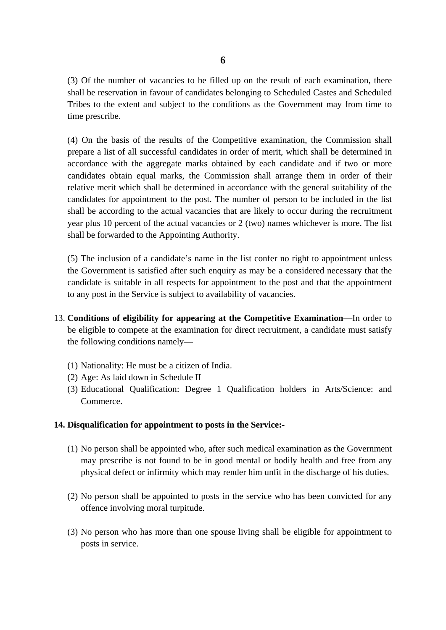(3) Of the number of vacancies to be filled up on the result of each examination, there shall be reservation in favour of candidates belonging to Scheduled Castes and Scheduled Tribes to the extent and subject to the conditions as the Government may from time to time prescribe.

(4) On the basis of the results of the Competitive examination, the Commission shall prepare a list of all successful candidates in order of merit, which shall be determined in accordance with the aggregate marks obtained by each candidate and if two or more candidates obtain equal marks, the Commission shall arrange them in order of their relative merit which shall be determined in accordance with the general suitability of the candidates for appointment to the post. The number of person to be included in the list shall be according to the actual vacancies that are likely to occur during the recruitment year plus 10 percent of the actual vacancies or 2 (two) names whichever is more. The list shall be forwarded to the Appointing Authority.

(5) The inclusion of a candidate's name in the list confer no right to appointment unless the Government is satisfied after such enquiry as may be a considered necessary that the candidate is suitable in all respects for appointment to the post and that the appointment to any post in the Service is subject to availability of vacancies.

- 13. **Conditions of eligibility for appearing at the Competitive Examination**—In order to be eligible to compete at the examination for direct recruitment, a candidate must satisfy the following conditions namely—
	- (1) Nationality: He must be a citizen of India.
	- (2) Age: As laid down in Schedule II
	- (3) Educational Qualification: Degree 1 Qualification holders in Arts/Science: and Commerce.

#### **14. Disqualification for appointment to posts in the Service:-**

- (1) No person shall be appointed who, after such medical examination as the Government may prescribe is not found to be in good mental or bodily health and free from any physical defect or infirmity which may render him unfit in the discharge of his duties.
- (2) No person shall be appointed to posts in the service who has been convicted for any offence involving moral turpitude.
- (3) No person who has more than one spouse living shall be eligible for appointment to posts in service.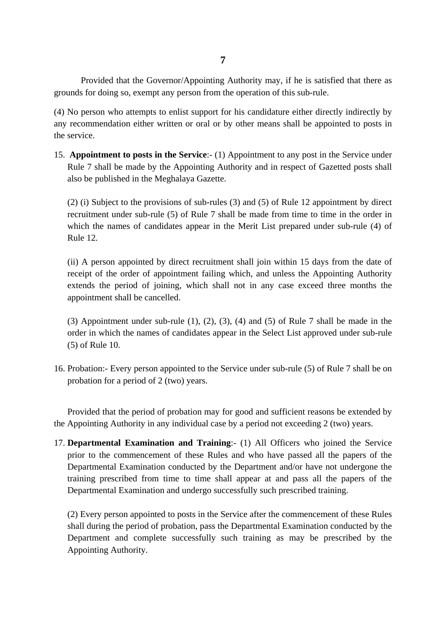**7**

Provided that the Governor/Appointing Authority may, if he is satisfied that there as grounds for doing so, exempt any person from the operation of this sub-rule.

(4) No person who attempts to enlist support for his candidature either directly indirectly by any recommendation either written or oral or by other means shall be appointed to posts in the service.

15. **Appointment to posts in the Service**:- (1) Appointment to any post in the Service under Rule 7 shall be made by the Appointing Authority and in respect of Gazetted posts shall also be published in the Meghalaya Gazette.

(2) (i) Subject to the provisions of sub-rules (3) and (5) of Rule 12 appointment by direct recruitment under sub-rule (5) of Rule 7 shall be made from time to time in the order in which the names of candidates appear in the Merit List prepared under sub-rule (4) of Rule 12.

(ii) A person appointed by direct recruitment shall join within 15 days from the date of receipt of the order of appointment failing which, and unless the Appointing Authority extends the period of joining, which shall not in any case exceed three months the appointment shall be cancelled.

(3) Appointment under sub-rule (1), (2), (3), (4) and (5) of Rule 7 shall be made in the order in which the names of candidates appear in the Select List approved under sub-rule (5) of Rule 10.

16. Probation:- Every person appointed to the Service under sub-rule (5) of Rule 7 shall be on probation for a period of 2 (two) years.

Provided that the period of probation may for good and sufficient reasons be extended by the Appointing Authority in any individual case by a period not exceeding 2 (two) years.

17. **Departmental Examination and Training**:- (1) All Officers who joined the Service prior to the commencement of these Rules and who have passed all the papers of the Departmental Examination conducted by the Department and/or have not undergone the training prescribed from time to time shall appear at and pass all the papers of the Departmental Examination and undergo successfully such prescribed training.

(2) Every person appointed to posts in the Service after the commencement of these Rules shall during the period of probation, pass the Departmental Examination conducted by the Department and complete successfully such training as may be prescribed by the Appointing Authority.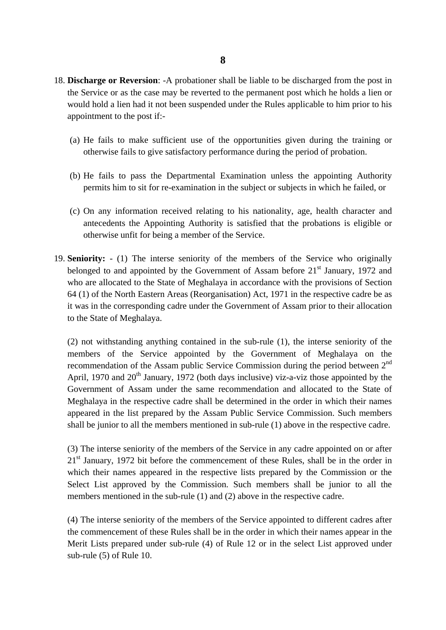- 18. **Discharge or Reversion**: -A probationer shall be liable to be discharged from the post in the Service or as the case may be reverted to the permanent post which he holds a lien or would hold a lien had it not been suspended under the Rules applicable to him prior to his appointment to the post if:-
	- (a) He fails to make sufficient use of the opportunities given during the training or otherwise fails to give satisfactory performance during the period of probation.
	- (b) He fails to pass the Departmental Examination unless the appointing Authority permits him to sit for re-examination in the subject or subjects in which he failed, or
	- (c) On any information received relating to his nationality, age, health character and antecedents the Appointing Authority is satisfied that the probations is eligible or otherwise unfit for being a member of the Service.
- 19. **Seniority:** (1) The interse seniority of the members of the Service who originally belonged to and appointed by the Government of Assam before  $21<sup>st</sup>$  January, 1972 and who are allocated to the State of Meghalaya in accordance with the provisions of Section 64 (1) of the North Eastern Areas (Reorganisation) Act, 1971 in the respective cadre be as it was in the corresponding cadre under the Government of Assam prior to their allocation to the State of Meghalaya.

(2) not withstanding anything contained in the sub-rule (1), the interse seniority of the members of the Service appointed by the Government of Meghalaya on the recommendation of the Assam public Service Commission during the period between 2nd April, 1970 and  $20<sup>th</sup>$  January, 1972 (both days inclusive) viz-a-viz those appointed by the Government of Assam under the same recommendation and allocated to the State of Meghalaya in the respective cadre shall be determined in the order in which their names appeared in the list prepared by the Assam Public Service Commission. Such members shall be junior to all the members mentioned in sub-rule (1) above in the respective cadre.

(3) The interse seniority of the members of the Service in any cadre appointed on or after 21<sup>st</sup> January, 1972 bit before the commencement of these Rules, shall be in the order in which their names appeared in the respective lists prepared by the Commission or the Select List approved by the Commission. Such members shall be junior to all the members mentioned in the sub-rule (1) and (2) above in the respective cadre.

(4) The interse seniority of the members of the Service appointed to different cadres after the commencement of these Rules shall be in the order in which their names appear in the Merit Lists prepared under sub-rule (4) of Rule 12 or in the select List approved under sub-rule (5) of Rule 10.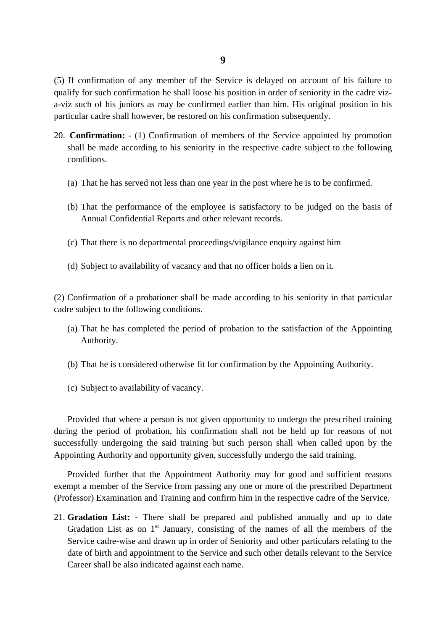(5) If confirmation of any member of the Service is delayed on account of his failure to qualify for such confirmation he shall loose his position in order of seniority in the cadre viza-viz such of his juniors as may be confirmed earlier than him. His original position in his particular cadre shall however, be restored on his confirmation subsequently.

- 20. **Confirmation:** (1) Confirmation of members of the Service appointed by promotion shall be made according to his seniority in the respective cadre subject to the following conditions.
	- (a) That he has served not less than one year in the post where he is to be confirmed.
	- (b) That the performance of the employee is satisfactory to be judged on the basis of Annual Confidential Reports and other relevant records.
	- (c) That there is no departmental proceedings/vigilance enquiry against him
	- (d) Subject to availability of vacancy and that no officer holds a lien on it.

(2) Confirmation of a probationer shall be made according to his seniority in that particular cadre subject to the following conditions.

- (a) That he has completed the period of probation to the satisfaction of the Appointing Authority.
- (b) That he is considered otherwise fit for confirmation by the Appointing Authority.
- (c) Subject to availability of vacancy.

Provided that where a person is not given opportunity to undergo the prescribed training during the period of probation, his confirmation shall not be held up for reasons of not successfully undergoing the said training but such person shall when called upon by the Appointing Authority and opportunity given, successfully undergo the said training.

Provided further that the Appointment Authority may for good and sufficient reasons exempt a member of the Service from passing any one or more of the prescribed Department (Professor) Examination and Training and confirm him in the respective cadre of the Service.

21. **Gradation List:** - There shall be prepared and published annually and up to date Gradation List as on  $1<sup>st</sup>$  January, consisting of the names of all the members of the Service cadre-wise and drawn up in order of Seniority and other particulars relating to the date of birth and appointment to the Service and such other details relevant to the Service Career shall be also indicated against each name.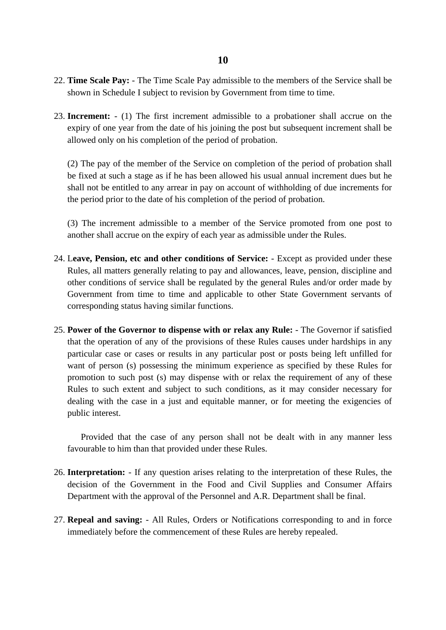- 22. **Time Scale Pay:** The Time Scale Pay admissible to the members of the Service shall be shown in Schedule I subject to revision by Government from time to time.
- 23. **Increment:** (1) The first increment admissible to a probationer shall accrue on the expiry of one year from the date of his joining the post but subsequent increment shall be allowed only on his completion of the period of probation.

(2) The pay of the member of the Service on completion of the period of probation shall be fixed at such a stage as if he has been allowed his usual annual increment dues but he shall not be entitled to any arrear in pay on account of withholding of due increments for the period prior to the date of his completion of the period of probation.

(3) The increment admissible to a member of the Service promoted from one post to another shall accrue on the expiry of each year as admissible under the Rules.

- 24. L**eave, Pension, etc and other conditions of Service:**  Except as provided under these Rules, all matters generally relating to pay and allowances, leave, pension, discipline and other conditions of service shall be regulated by the general Rules and/or order made by Government from time to time and applicable to other State Government servants of corresponding status having similar functions.
- 25. **Power of the Governor to dispense with or relax any Rule:** The Governor if satisfied that the operation of any of the provisions of these Rules causes under hardships in any particular case or cases or results in any particular post or posts being left unfilled for want of person (s) possessing the minimum experience as specified by these Rules for promotion to such post (s) may dispense with or relax the requirement of any of these Rules to such extent and subject to such conditions, as it may consider necessary for dealing with the case in a just and equitable manner, or for meeting the exigencies of public interest.

Provided that the case of any person shall not be dealt with in any manner less favourable to him than that provided under these Rules.

- 26. **Interpretation:** If any question arises relating to the interpretation of these Rules, the decision of the Government in the Food and Civil Supplies and Consumer Affairs Department with the approval of the Personnel and A.R. Department shall be final.
- 27. **Repeal and saving:** All Rules, Orders or Notifications corresponding to and in force immediately before the commencement of these Rules are hereby repealed.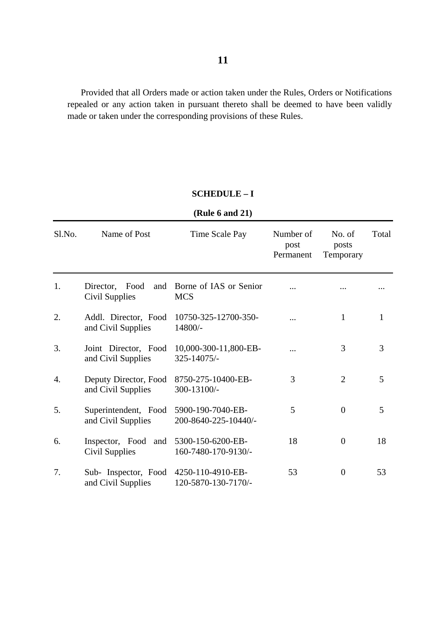Provided that all Orders made or action taken under the Rules, Orders or Notifications repealed or any action taken in pursuant thereto shall be deemed to have been validly made or taken under the corresponding provisions of these Rules.

#### **SCHEDULE – I**

| Sl.No. | Name of Post                                | Time Scale Pay                            | Number of<br>post<br>Permanent | No. of<br>posts<br>Temporary | Total        |
|--------|---------------------------------------------|-------------------------------------------|--------------------------------|------------------------------|--------------|
| 1.     | Food<br>and<br>Director,<br>Civil Supplies  | Borne of IAS or Senior<br><b>MCS</b>      |                                |                              |              |
| 2.     | Addl. Director, Food<br>and Civil Supplies  | 10750-325-12700-350-<br>14800/-           |                                | $\mathbf{1}$                 | $\mathbf{1}$ |
| 3.     | Joint Director, Food<br>and Civil Supplies  | 10,000-300-11,800-EB-<br>325-14075/-      |                                | 3                            | 3            |
| 4.     | Deputy Director, Food<br>and Civil Supplies | 8750-275-10400-EB-<br>300-13100/-         | 3                              | $\overline{2}$               | 5            |
| 5.     | Superintendent, Food<br>and Civil Supplies  | 5900-190-7040-EB-<br>200-8640-225-10440/- | 5                              | $\theta$                     | 5            |
| 6.     | Inspector, Food and<br>Civil Supplies       | 5300-150-6200-EB-<br>160-7480-170-9130/-  | 18                             | $\overline{0}$               | 18           |
| 7.     | Sub-Inspector, Food<br>and Civil Supplies   | 4250-110-4910-EB-<br>120-5870-130-7170/-  | 53                             | $\theta$                     | 53           |

### **(Rule 6 and 21)**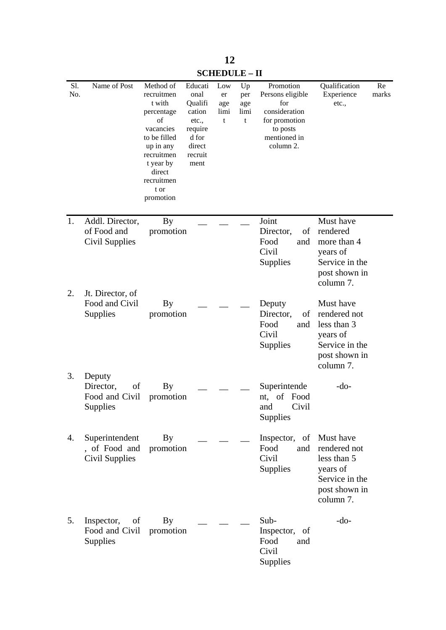Sl. No. Name of Post Method of recruitmen t with percentage of vacancies to be filled up in any recruitmen t year by direct recruitmen t or promotion **Educati** onal **Oualifi** cation etc., require d for direct recruit ment Low er age limi t Up per age limi t Promotion Persons eligible for consideration for promotion to posts mentioned in column 2. **Qualification** Experience etc., Re marks 1. 2. 3. 4. 5. Addl. Director, of Food and Civil Supplies Jt. Director, of Food and Civil Supplies Deputy Director, of Food and Civil promotion Supplies Superintendent , of Food and promotion Civil Supplies Inspector, of Food and Civil Supplies By promotion By promotion By By By promotion  $\overline{\phantom{a}}$  $\overline{\phantom{a}}$  $\overline{\phantom{a}}$  $\overline{\phantom{a}}$  $\overline{\phantom{a}}$  $\overline{\phantom{a}}$  $\overline{\phantom{a}}$  $\overline{\phantom{a}}$  $\overline{\phantom{0}}$  $\overline{\phantom{a}}$  $\overline{\phantom{a}}$  $\overline{\phantom{a}}$  $\overline{\phantom{a}}$  $\overline{\phantom{0}}$  $\overline{\phantom{a}}$ Joint Director, of Food and Civil Supplies Deputy Director, Food Civil Supplies Superintende nt, of Food and Civil Supplies Inspector, of Food Civil Supplies Sub-Inspector, of Food and Civil Supplies Must have rendered more than 4 years of Service in the post shown in column 7. Must have of rendered not and less than 3 years of Service in the post shown in column 7. -do-Must have and rendered not less than 5 years of Service in the post shown in column 7. -do-

**12 SCHEDULE – II**